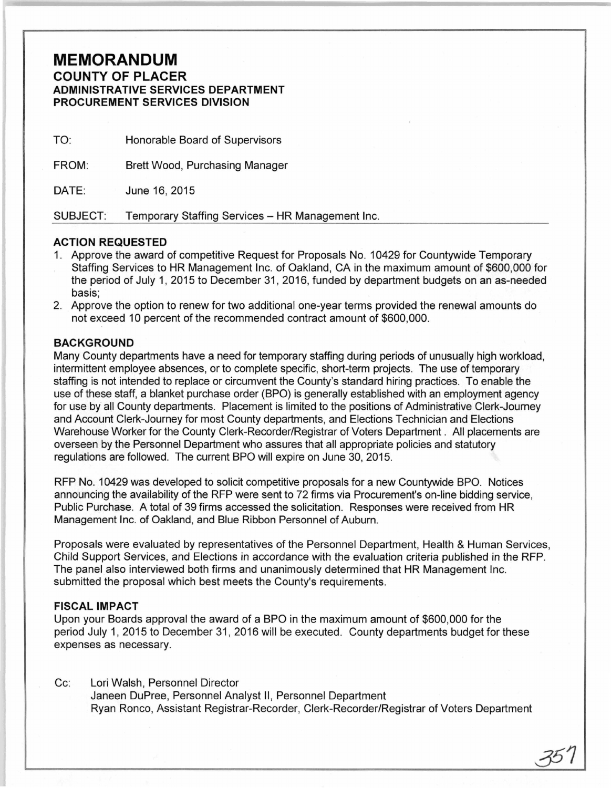# **MEMORANDUM**

#### **COUNTY OF PLACER ADMINISTRATIVE SERVICES DEPARTMENT PROCUREMENT SERVICES DIVISION**

| TO:      | Honorable Board of Supervisors                   |
|----------|--------------------------------------------------|
| FROM:    | Brett Wood, Purchasing Manager                   |
| DATE:    | June 16, 2015                                    |
| SUBJECT: | Temporary Staffing Services - HR Management Inc. |

## **ACTION REQUESTED**

- 1. Approve the award of competitive Request for Proposals No. 10429 for Countywide Temporary Staffing Services to HR Management Inc. of Oakland, CA in the maximum amount of \$600,000 for the period of July 1, 2015 to December 31, 2016, funded by department budgets on an as-needed basis;
- 2. Approve the option to renew for two additional one-year terms provided the renewal amounts do not exceed 10 percent of the recommended contract amount of \$600,000.

## **BACKGROUND**

Many County departments have a need for temporary staffing during periods of unusually high workload, intermittent employee absences, or to complete specific, short-term projects. The use of temporary staffing is not intended to replace or circumvent the County's standard hiring practices. To enable the use of these staff, a blanket purchase order (BPO) is generally established with an employment agency for use by all County departments. Placement is limited to the positions of Administrative Clerk-Journey and Account Clerk-Journey for most County departments, and Elections Technician and Elections Warehouse Worker for the County Clerk-Recorder/Registrar of Voters Department . All placements are overseen by the Personnel Department who assures that all appropriate policies and statutory regulations are followed. The current BPO will expire on June 30, 2015.

RFP No. 10429 was developed to solicit competitive proposals for a new Countywide BPO. Notices announcing the availability of the RFP were sent to 72 firms via Procurement's on-line bidding service, Public Purchase. A total of 39 firms accessed the solicitation. Responses were received from HR Management Inc. of Oakland, and Blue Ribbon Personnel of Auburn.

Proposals were evaluated by representatives of the Personnel Department, Health & Human Services, Child Support Services, and Elections in accordance with the evaluation criteria published in the RFP. The panel also interviewed both firms and unanimously determined that HR Management Inc. submitted the proposal which best meets the County's requirements.

#### **FISCAL IMPACT**

Upon your Boards approval the award of a BPO in the maximum amount of \$600,000 for the period July 1, 2015 to December 31, 2016 will be executed. County departments budget for these expenses as necessary.

#### Cc: Lori Walsh, Personnel Director

Janeen DuPree, Personnel Analyst II, Personnel Department Ryan Ronco, Assistant Registrar-Recorder, Clerk-Recorder/Registrar of Voters Department